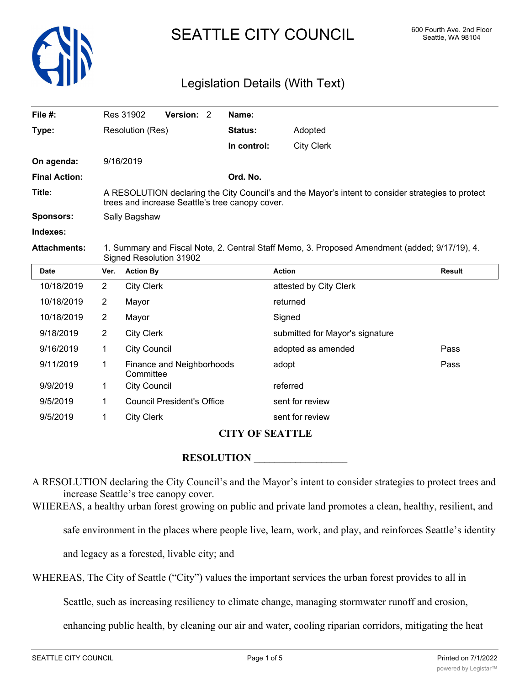

# SEATTLE CITY COUNCIL 600 Fourth Ave. 2nd Floor

### Legislation Details (With Text)

| File $#$ :           | Res 31902                                                                                                                                             | Version: 2 |  | Name:          |                   |
|----------------------|-------------------------------------------------------------------------------------------------------------------------------------------------------|------------|--|----------------|-------------------|
| Type:                | Resolution (Res)                                                                                                                                      |            |  | <b>Status:</b> | Adopted           |
|                      |                                                                                                                                                       |            |  | In control:    | <b>City Clerk</b> |
| On agenda:           | 9/16/2019                                                                                                                                             |            |  |                |                   |
| <b>Final Action:</b> |                                                                                                                                                       |            |  | Ord. No.       |                   |
| Title:               | A RESOLUTION declaring the City Council's and the Mayor's intent to consider strategies to protect<br>trees and increase Seattle's tree canopy cover. |            |  |                |                   |
| Sponsors:            | Sally Bagshaw                                                                                                                                         |            |  |                |                   |
| Indexes:             |                                                                                                                                                       |            |  |                |                   |
| <b>Attachments:</b>  | 1. Summary and Fiscal Note, 2. Central Staff Memo, 3. Proposed Amendment (added; 9/17/19), 4.<br>Signed Resolution 31902                              |            |  |                |                   |

| <b>Date</b> | Ver.           | <b>Action By</b>                       | <b>Action</b>                   | <b>Result</b> |
|-------------|----------------|----------------------------------------|---------------------------------|---------------|
| 10/18/2019  | $\overline{2}$ | <b>City Clerk</b>                      | attested by City Clerk          |               |
| 10/18/2019  | 2              | Mayor                                  | returned                        |               |
| 10/18/2019  | 2              | Mayor                                  | Signed                          |               |
| 9/18/2019   | 2              | <b>City Clerk</b>                      | submitted for Mayor's signature |               |
| 9/16/2019   | 1              | <b>City Council</b>                    | adopted as amended              | Pass          |
| 9/11/2019   | 1              | Finance and Neighborhoods<br>Committee | adopt                           | Pass          |
| 9/9/2019    | 1              | <b>City Council</b>                    | referred                        |               |
| 9/5/2019    | 1              | <b>Council President's Office</b>      | sent for review                 |               |
| 9/5/2019    | 1              | <b>City Clerk</b>                      | sent for review                 |               |

#### **CITY OF SEATTLE**

### **RESOLUTION**

A RESOLUTION declaring the City Council's and the Mayor's intent to consider strategies to protect trees and increase Seattle's tree canopy cover.

WHEREAS, a healthy urban forest growing on public and private land promotes a clean, healthy, resilient, and

safe environment in the places where people live, learn, work, and play, and reinforces Seattle's identity

and legacy as a forested, livable city; and

WHEREAS, The City of Seattle ("City") values the important services the urban forest provides to all in

Seattle, such as increasing resiliency to climate change, managing stormwater runoff and erosion,

enhancing public health, by cleaning our air and water, cooling riparian corridors, mitigating the heat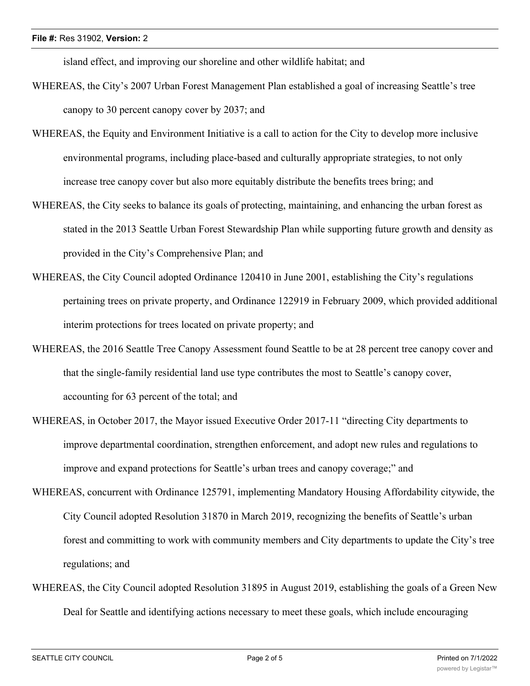island effect, and improving our shoreline and other wildlife habitat; and

- WHEREAS, the City's 2007 Urban Forest Management Plan established a goal of increasing Seattle's tree canopy to 30 percent canopy cover by 2037; and
- WHEREAS, the Equity and Environment Initiative is a call to action for the City to develop more inclusive environmental programs, including place-based and culturally appropriate strategies, to not only increase tree canopy cover but also more equitably distribute the benefits trees bring; and
- WHEREAS, the City seeks to balance its goals of protecting, maintaining, and enhancing the urban forest as stated in the 2013 Seattle Urban Forest Stewardship Plan while supporting future growth and density as provided in the City's Comprehensive Plan; and
- WHEREAS, the City Council adopted Ordinance 120410 in June 2001, establishing the City's regulations pertaining trees on private property, and Ordinance 122919 in February 2009, which provided additional interim protections for trees located on private property; and
- WHEREAS, the 2016 Seattle Tree Canopy Assessment found Seattle to be at 28 percent tree canopy cover and that the single-family residential land use type contributes the most to Seattle's canopy cover, accounting for 63 percent of the total; and
- WHEREAS, in October 2017, the Mayor issued Executive Order 2017-11 "directing City departments to improve departmental coordination, strengthen enforcement, and adopt new rules and regulations to improve and expand protections for Seattle's urban trees and canopy coverage;" and
- WHEREAS, concurrent with Ordinance 125791, implementing Mandatory Housing Affordability citywide, the City Council adopted Resolution 31870 in March 2019, recognizing the benefits of Seattle's urban forest and committing to work with community members and City departments to update the City's tree regulations; and
- WHEREAS, the City Council adopted Resolution 31895 in August 2019, establishing the goals of a Green New Deal for Seattle and identifying actions necessary to meet these goals, which include encouraging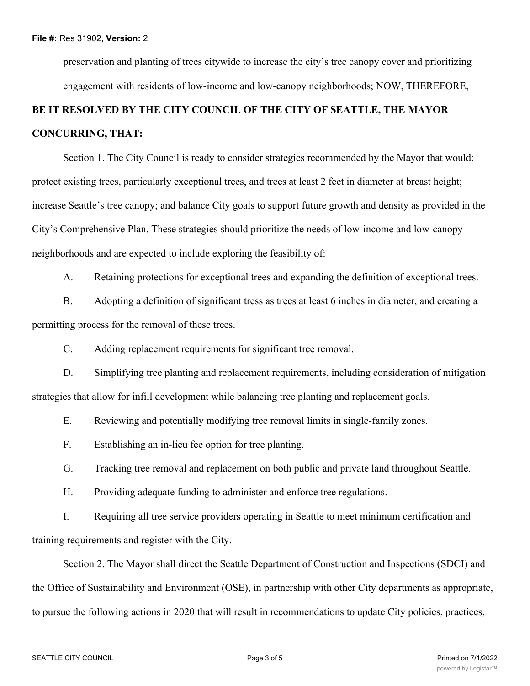preservation and planting of trees citywide to increase the city's tree canopy cover and prioritizing engagement with residents of low-income and low-canopy neighborhoods; NOW, THEREFORE,

## **BE IT RESOLVED BY THE CITY COUNCIL OF THE CITY OF SEATTLE, THE MAYOR CONCURRING, THAT:**

Section 1. The City Council is ready to consider strategies recommended by the Mayor that would: protect existing trees, particularly exceptional trees, and trees at least 2 feet in diameter at breast height; increase Seattle's tree canopy; and balance City goals to support future growth and density as provided in the City's Comprehensive Plan. These strategies should prioritize the needs of low-income and low-canopy neighborhoods and are expected to include exploring the feasibility of:

A. Retaining protections for exceptional trees and expanding the definition of exceptional trees.

B. Adopting a definition of significant tress as trees at least 6 inches in diameter, and creating a permitting process for the removal of these trees.

C. Adding replacement requirements for significant tree removal.

D. Simplifying tree planting and replacement requirements, including consideration of mitigation strategies that allow for infill development while balancing tree planting and replacement goals.

E. Reviewing and potentially modifying tree removal limits in single-family zones.

F. Establishing an in-lieu fee option for tree planting.

G. Tracking tree removal and replacement on both public and private land throughout Seattle.

H. Providing adequate funding to administer and enforce tree regulations.

I. Requiring all tree service providers operating in Seattle to meet minimum certification and training requirements and register with the City.

Section 2. The Mayor shall direct the Seattle Department of Construction and Inspections (SDCI) and the Office of Sustainability and Environment (OSE), in partnership with other City departments as appropriate, to pursue the following actions in 2020 that will result in recommendations to update City policies, practices,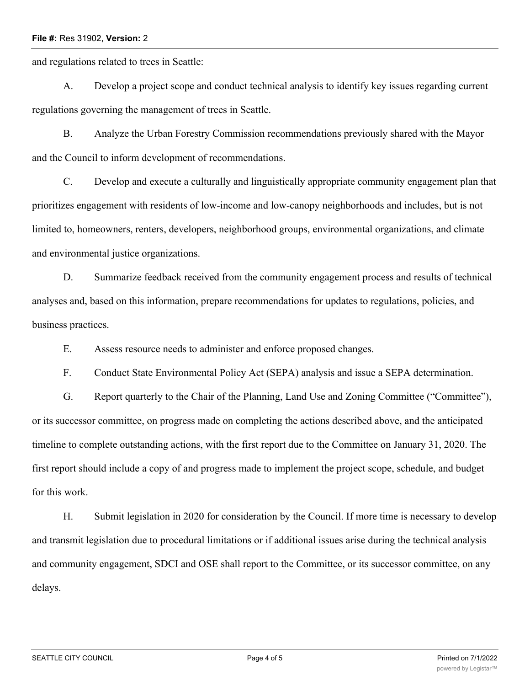#### **File #:** Res 31902, **Version:** 2

and regulations related to trees in Seattle:

A. Develop a project scope and conduct technical analysis to identify key issues regarding current regulations governing the management of trees in Seattle.

B. Analyze the Urban Forestry Commission recommendations previously shared with the Mayor and the Council to inform development of recommendations.

C. Develop and execute a culturally and linguistically appropriate community engagement plan that prioritizes engagement with residents of low-income and low-canopy neighborhoods and includes, but is not limited to, homeowners, renters, developers, neighborhood groups, environmental organizations, and climate and environmental justice organizations.

D. Summarize feedback received from the community engagement process and results of technical analyses and, based on this information, prepare recommendations for updates to regulations, policies, and business practices.

E. Assess resource needs to administer and enforce proposed changes.

F. Conduct State Environmental Policy Act (SEPA) analysis and issue a SEPA determination.

G. Report quarterly to the Chair of the Planning, Land Use and Zoning Committee ("Committee"), or its successor committee, on progress made on completing the actions described above, and the anticipated timeline to complete outstanding actions, with the first report due to the Committee on January 31, 2020. The first report should include a copy of and progress made to implement the project scope, schedule, and budget for this work.

H. Submit legislation in 2020 for consideration by the Council. If more time is necessary to develop and transmit legislation due to procedural limitations or if additional issues arise during the technical analysis and community engagement, SDCI and OSE shall report to the Committee, or its successor committee, on any delays.